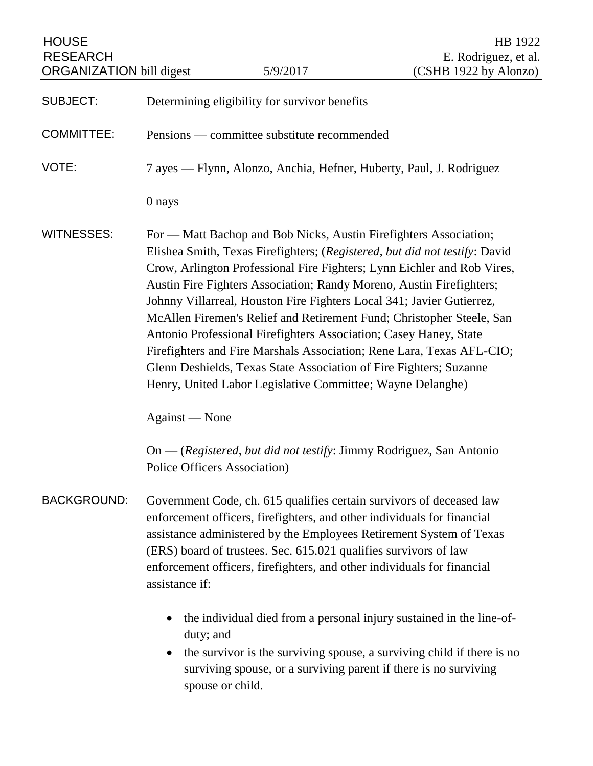| <b>HOUSE</b><br><b>RESEARCH</b><br><b>ORGANIZATION</b> bill digest |                                                                                                                                                                                                                                                                                                                                                                                                                                                                                                                                                                                                                                                                                                                                                          | 5/9/2017                                                                                                                                                                                                                                            | HB 1922<br>E. Rodriguez, et al.<br>(CSHB 1922 by Alonzo) |
|--------------------------------------------------------------------|----------------------------------------------------------------------------------------------------------------------------------------------------------------------------------------------------------------------------------------------------------------------------------------------------------------------------------------------------------------------------------------------------------------------------------------------------------------------------------------------------------------------------------------------------------------------------------------------------------------------------------------------------------------------------------------------------------------------------------------------------------|-----------------------------------------------------------------------------------------------------------------------------------------------------------------------------------------------------------------------------------------------------|----------------------------------------------------------|
|                                                                    |                                                                                                                                                                                                                                                                                                                                                                                                                                                                                                                                                                                                                                                                                                                                                          |                                                                                                                                                                                                                                                     |                                                          |
| <b>SUBJECT:</b>                                                    |                                                                                                                                                                                                                                                                                                                                                                                                                                                                                                                                                                                                                                                                                                                                                          | Determining eligibility for survivor benefits                                                                                                                                                                                                       |                                                          |
| <b>COMMITTEE:</b>                                                  | Pensions — committee substitute recommended                                                                                                                                                                                                                                                                                                                                                                                                                                                                                                                                                                                                                                                                                                              |                                                                                                                                                                                                                                                     |                                                          |
| VOTE:                                                              | 7 ayes — Flynn, Alonzo, Anchia, Hefner, Huberty, Paul, J. Rodriguez                                                                                                                                                                                                                                                                                                                                                                                                                                                                                                                                                                                                                                                                                      |                                                                                                                                                                                                                                                     |                                                          |
|                                                                    | 0 nays                                                                                                                                                                                                                                                                                                                                                                                                                                                                                                                                                                                                                                                                                                                                                   |                                                                                                                                                                                                                                                     |                                                          |
| <b>WITNESSES:</b>                                                  | For — Matt Bachop and Bob Nicks, Austin Firefighters Association;<br>Elishea Smith, Texas Firefighters; (Registered, but did not testify: David<br>Crow, Arlington Professional Fire Fighters; Lynn Eichler and Rob Vires,<br>Austin Fire Fighters Association; Randy Moreno, Austin Firefighters;<br>Johnny Villarreal, Houston Fire Fighters Local 341; Javier Gutierrez,<br>McAllen Firemen's Relief and Retirement Fund; Christopher Steele, San<br>Antonio Professional Firefighters Association; Casey Haney, State<br>Firefighters and Fire Marshals Association; Rene Lara, Texas AFL-CIO;<br>Glenn Deshields, Texas State Association of Fire Fighters; Suzanne<br>Henry, United Labor Legislative Committee; Wayne Delanghe)<br>Against — None |                                                                                                                                                                                                                                                     |                                                          |
|                                                                    | On — (Registered, but did not testify: Jimmy Rodriguez, San Antonio<br>Police Officers Association)                                                                                                                                                                                                                                                                                                                                                                                                                                                                                                                                                                                                                                                      |                                                                                                                                                                                                                                                     |                                                          |
| <b>BACKGROUND:</b>                                                 | Government Code, ch. 615 qualifies certain survivors of deceased law<br>enforcement officers, firefighters, and other individuals for financial<br>assistance administered by the Employees Retirement System of Texas<br>(ERS) board of trustees. Sec. 615.021 qualifies survivors of law<br>enforcement officers, firefighters, and other individuals for financial<br>assistance if:                                                                                                                                                                                                                                                                                                                                                                  |                                                                                                                                                                                                                                                     |                                                          |
|                                                                    | $\bullet$<br>$\bullet$                                                                                                                                                                                                                                                                                                                                                                                                                                                                                                                                                                                                                                                                                                                                   | the individual died from a personal injury sustained in the line-of-<br>duty; and<br>the survivor is the surviving spouse, a surviving child if there is no<br>surviving spouse, or a surviving parent if there is no surviving<br>spouse or child. |                                                          |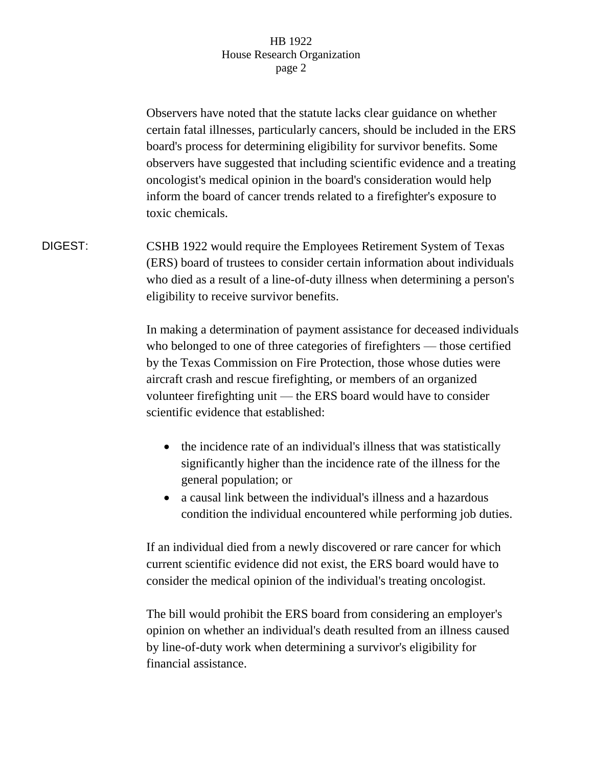## HB 1922 House Research Organization page 2

Observers have noted that the statute lacks clear guidance on whether certain fatal illnesses, particularly cancers, should be included in the ERS board's process for determining eligibility for survivor benefits. Some observers have suggested that including scientific evidence and a treating oncologist's medical opinion in the board's consideration would help inform the board of cancer trends related to a firefighter's exposure to toxic chemicals.

DIGEST: CSHB 1922 would require the Employees Retirement System of Texas (ERS) board of trustees to consider certain information about individuals who died as a result of a line-of-duty illness when determining a person's eligibility to receive survivor benefits.

> In making a determination of payment assistance for deceased individuals who belonged to one of three categories of firefighters — those certified by the Texas Commission on Fire Protection, those whose duties were aircraft crash and rescue firefighting, or members of an organized volunteer firefighting unit — the ERS board would have to consider scientific evidence that established:

- the incidence rate of an individual's illness that was statistically significantly higher than the incidence rate of the illness for the general population; or
- a causal link between the individual's illness and a hazardous condition the individual encountered while performing job duties.

If an individual died from a newly discovered or rare cancer for which current scientific evidence did not exist, the ERS board would have to consider the medical opinion of the individual's treating oncologist.

The bill would prohibit the ERS board from considering an employer's opinion on whether an individual's death resulted from an illness caused by line-of-duty work when determining a survivor's eligibility for financial assistance.